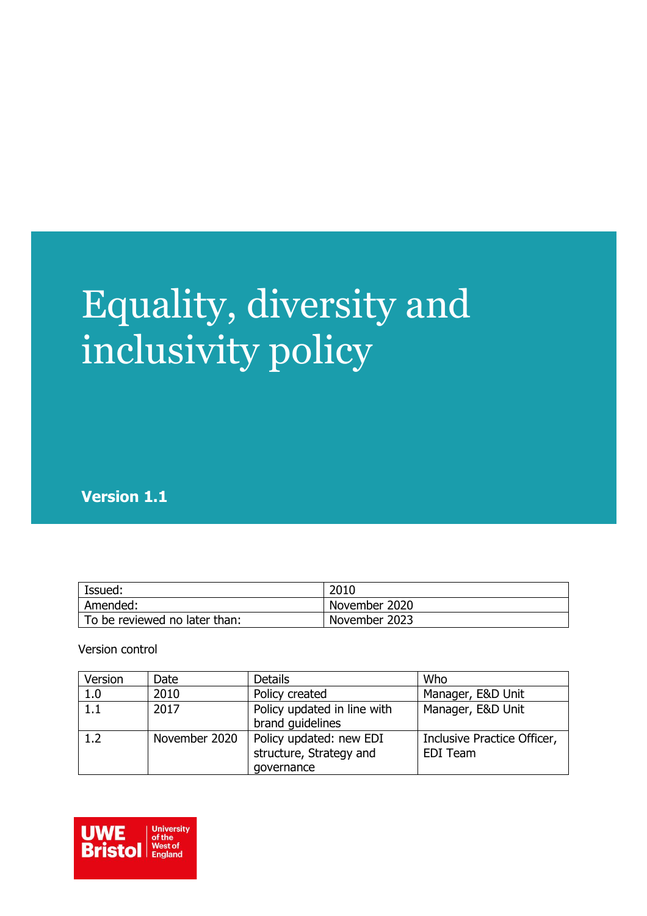# Equality, diversity and inclusivity policy

**Version 1.1**

| Issued:                       | 2010          |
|-------------------------------|---------------|
| Amended:                      | November 2020 |
| To be reviewed no later than: | November 2023 |

Version control

| Version | Date          | <b>Details</b>                                     | Who                                            |
|---------|---------------|----------------------------------------------------|------------------------------------------------|
| 1.0     | 2010          | Policy created                                     | Manager, E&D Unit                              |
| 1.1     | 2017          | Policy updated in line with                        | Manager, E&D Unit                              |
|         |               | brand quidelines                                   |                                                |
| 1.2     | November 2020 | Policy updated: new EDI<br>structure, Strategy and | Inclusive Practice Officer,<br><b>EDI</b> Team |
|         |               | governance                                         |                                                |

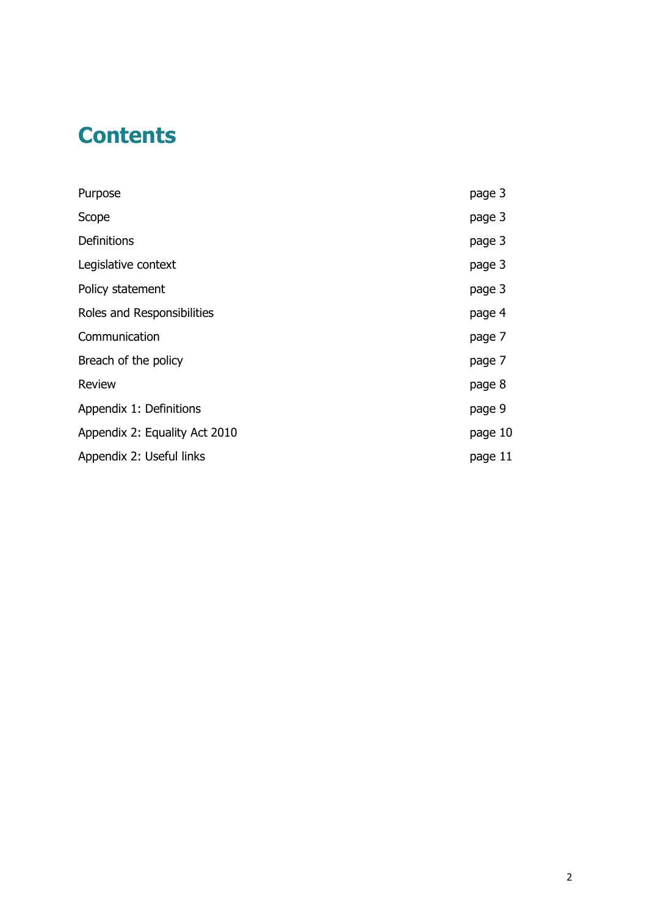# **Contents**

| Purpose                       | page 3  |
|-------------------------------|---------|
| Scope                         | page 3  |
| Definitions                   | page 3  |
| Legislative context           | page 3  |
| Policy statement              | page 3  |
| Roles and Responsibilities    | page 4  |
| Communication                 | page 7  |
| Breach of the policy          | page 7  |
| <b>Review</b>                 | page 8  |
| Appendix 1: Definitions       | page 9  |
| Appendix 2: Equality Act 2010 | page 10 |
| Appendix 2: Useful links      | page 11 |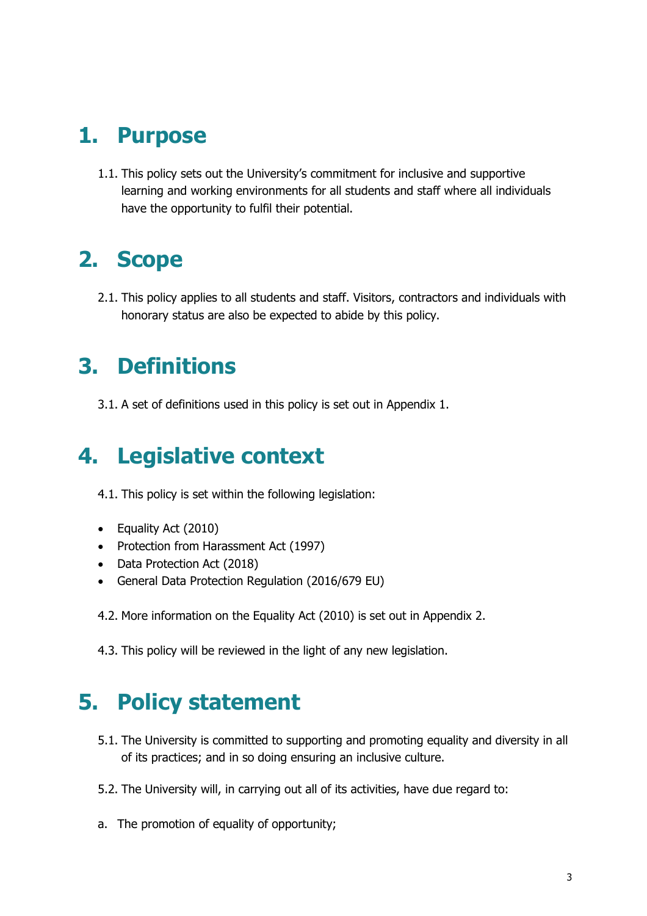# **1. Purpose**

1.1. This policy sets out the University's commitment for inclusive and supportive learning and working environments for all students and staff where all individuals have the opportunity to fulfil their potential.

# **2. Scope**

2.1. This policy applies to all students and staff. Visitors, contractors and individuals with honorary status are also be expected to abide by this policy.

# **3. Definitions**

3.1. A set of definitions used in this policy is set out in Appendix 1.

# **4. Legislative context**

4.1. This policy is set within the following legislation:

- Equality Act (2010)
- Protection from Harassment Act (1997)
- Data Protection Act (2018)
- General Data Protection Regulation (2016/679 EU)
- 4.2. More information on the Equality Act (2010) is set out in Appendix 2.
- 4.3. This policy will be reviewed in the light of any new legislation.

# **5. Policy statement**

- 5.1. The University is committed to supporting and promoting equality and diversity in all of its practices; and in so doing ensuring an inclusive culture.
- 5.2. The University will, in carrying out all of its activities, have due regard to:
- a. The promotion of equality of opportunity;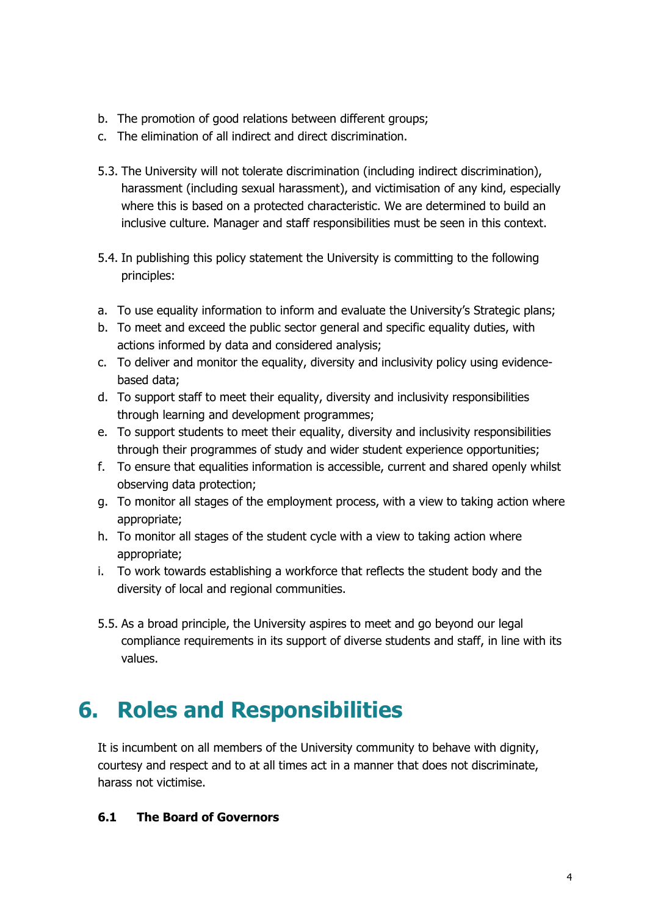- b. The promotion of good relations between different groups;
- c. The elimination of all indirect and direct discrimination.
- 5.3. The University will not tolerate discrimination (including indirect discrimination), harassment (including sexual harassment), and victimisation of any kind, especially where this is based on a protected characteristic. We are determined to build an inclusive culture. Manager and staff responsibilities must be seen in this context.
- 5.4. In publishing this policy statement the University is committing to the following principles:
- a. To use equality information to inform and evaluate the University's Strategic plans;
- b. To meet and exceed the public sector general and specific equality duties, with actions informed by data and considered analysis;
- c. To deliver and monitor the equality, diversity and inclusivity policy using evidencebased data;
- d. To support staff to meet their equality, diversity and inclusivity responsibilities through learning and development programmes;
- e. To support students to meet their equality, diversity and inclusivity responsibilities through their programmes of study and wider student experience opportunities;
- f. To ensure that equalities information is accessible, current and shared openly whilst observing data protection;
- g. To monitor all stages of the employment process, with a view to taking action where appropriate;
- h. To monitor all stages of the student cycle with a view to taking action where appropriate;
- i. To work towards establishing a workforce that reflects the student body and the diversity of local and regional communities.
- 5.5. As a broad principle, the University aspires to meet and go beyond our legal compliance requirements in its support of diverse students and staff, in line with its values.

# **6. Roles and Responsibilities**

It is incumbent on all members of the University community to behave with dignity, courtesy and respect and to at all times act in a manner that does not discriminate, harass not victimise.

#### **6.1 The Board of Governors**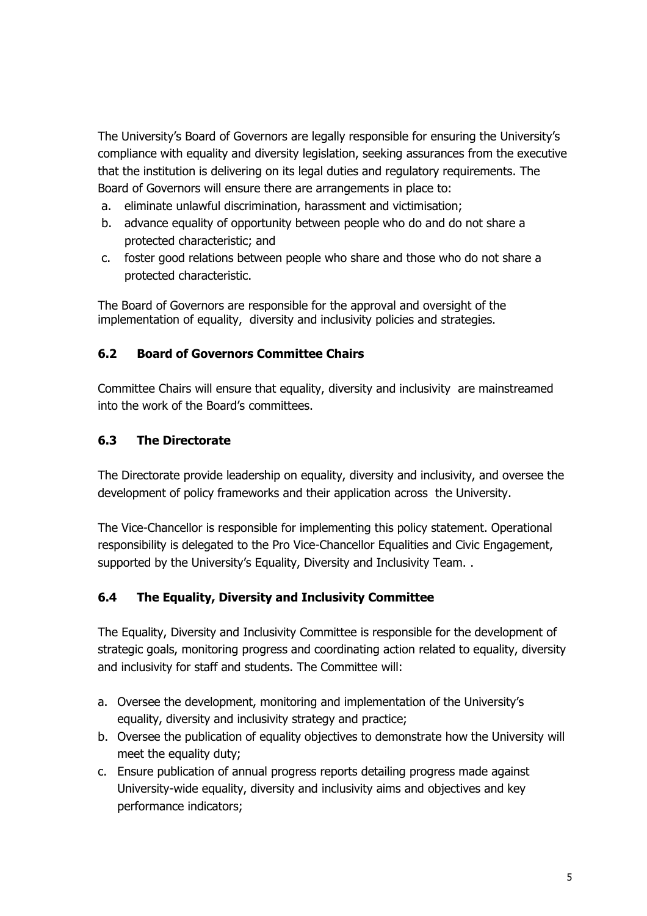The University's Board of Governors are legally responsible for ensuring the University's compliance with equality and diversity legislation, seeking assurances from the executive that the institution is delivering on its legal duties and regulatory requirements. The Board of Governors will ensure there are arrangements in place to:

- a. eliminate unlawful discrimination, harassment and victimisation;
- b. advance equality of opportunity between people who do and do not share a protected characteristic; and
- c. foster good relations between people who share and those who do not share a protected characteristic.

The Board of Governors are responsible for the approval and oversight of the implementation of equality, diversity and inclusivity policies and strategies.

#### **6.2 Board of Governors Committee Chairs**

Committee Chairs will ensure that equality, diversity and inclusivity are mainstreamed into the work of the Board's committees.

#### **6.3 The Directorate**

The Directorate provide leadership on equality, diversity and inclusivity, and oversee the development of policy frameworks and their application across the University.

The Vice-Chancellor is responsible for implementing this policy statement. Operational responsibility is delegated to the Pro Vice-Chancellor Equalities and Civic Engagement, supported by the University's Equality, Diversity and Inclusivity Team. .

#### **6.4 The Equality, Diversity and Inclusivity Committee**

The Equality, Diversity and Inclusivity Committee is responsible for the development of strategic goals, monitoring progress and coordinating action related to equality, diversity and inclusivity for staff and students. The Committee will:

- a. Oversee the development, monitoring and implementation of the University's equality, diversity and inclusivity strategy and practice;
- b. Oversee the publication of equality objectives to demonstrate how the University will meet the equality duty;
- c. Ensure publication of annual progress reports detailing progress made against University-wide equality, diversity and inclusivity aims and objectives and key performance indicators;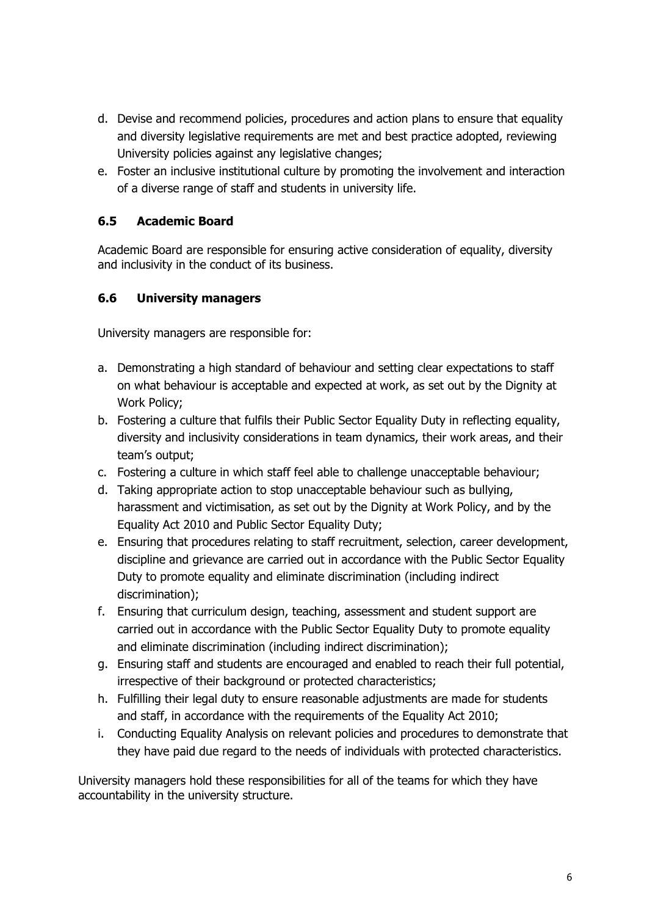- d. Devise and recommend policies, procedures and action plans to ensure that equality and diversity legislative requirements are met and best practice adopted, reviewing University policies against any legislative changes;
- e. Foster an inclusive institutional culture by promoting the involvement and interaction of a diverse range of staff and students in university life.

#### **6.5 Academic Board**

Academic Board are responsible for ensuring active consideration of equality, diversity and inclusivity in the conduct of its business.

#### **6.6 University managers**

University managers are responsible for:

- a. Demonstrating a high standard of behaviour and setting clear expectations to staff on what behaviour is acceptable and expected at work, as set out by the Dignity at Work Policy;
- b. Fostering a culture that fulfils their Public Sector Equality Duty in reflecting equality, diversity and inclusivity considerations in team dynamics, their work areas, and their team's output;
- c. Fostering a culture in which staff feel able to challenge unacceptable behaviour;
- d. Taking appropriate action to stop unacceptable behaviour such as bullying, harassment and victimisation, as set out by the Dignity at Work Policy, and by the Equality Act 2010 and Public Sector Equality Duty;
- e. Ensuring that procedures relating to staff recruitment, selection, career development, discipline and grievance are carried out in accordance with the Public Sector Equality Duty to promote equality and eliminate discrimination (including indirect discrimination);
- f. Ensuring that curriculum design, teaching, assessment and student support are carried out in accordance with the Public Sector Equality Duty to promote equality and eliminate discrimination (including indirect discrimination);
- g. Ensuring staff and students are encouraged and enabled to reach their full potential, irrespective of their background or protected characteristics;
- h. Fulfilling their legal duty to ensure reasonable adjustments are made for students and staff, in accordance with the requirements of the Equality Act 2010;
- i. Conducting Equality Analysis on relevant policies and procedures to demonstrate that they have paid due regard to the needs of individuals with protected characteristics.

University managers hold these responsibilities for all of the teams for which they have accountability in the university structure.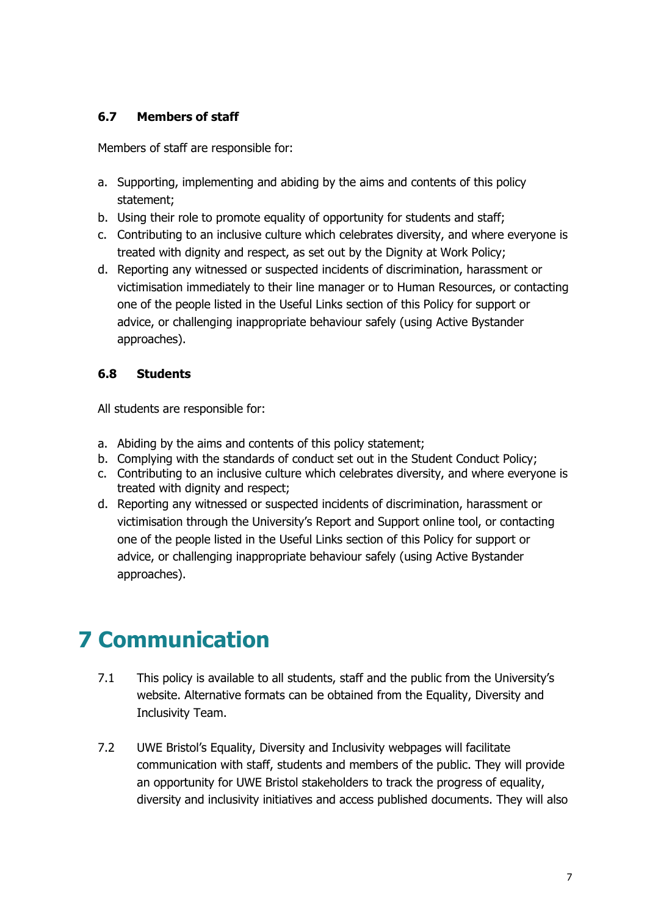#### **6.7 Members of staff**

Members of staff are responsible for:

- a. Supporting, implementing and abiding by the aims and contents of this policy statement;
- b. Using their role to promote equality of opportunity for students and staff;
- c. Contributing to an inclusive culture which celebrates diversity, and where everyone is treated with dignity and respect, as set out by the Dignity at Work Policy;
- d. Reporting any witnessed or suspected incidents of discrimination, harassment or victimisation immediately to their line manager or to Human Resources, or contacting one of the people listed in the Useful Links section of this Policy for support or advice, or challenging inappropriate behaviour safely (using Active Bystander approaches).

#### **6.8 Students**

All students are responsible for:

- a. Abiding by the aims and contents of this policy statement;
- b. Complying with the standards of conduct set out in the Student Conduct Policy;
- c. Contributing to an inclusive culture which celebrates diversity, and where everyone is treated with dignity and respect;
- d. Reporting any witnessed or suspected incidents of discrimination, harassment or victimisation through the University's Report and Support online tool, or contacting one of the people listed in the Useful Links section of this Policy for support or advice, or challenging inappropriate behaviour safely (using Active Bystander approaches).

# **7 Communication**

- 7.1 This policy is available to all students, staff and the public from the University's website. Alternative formats can be obtained from the Equality, Diversity and Inclusivity Team.
- 7.2 UWE Bristol's Equality, Diversity and Inclusivity webpages will facilitate communication with staff, students and members of the public. They will provide an opportunity for UWE Bristol stakeholders to track the progress of equality, diversity and inclusivity initiatives and access published documents. They will also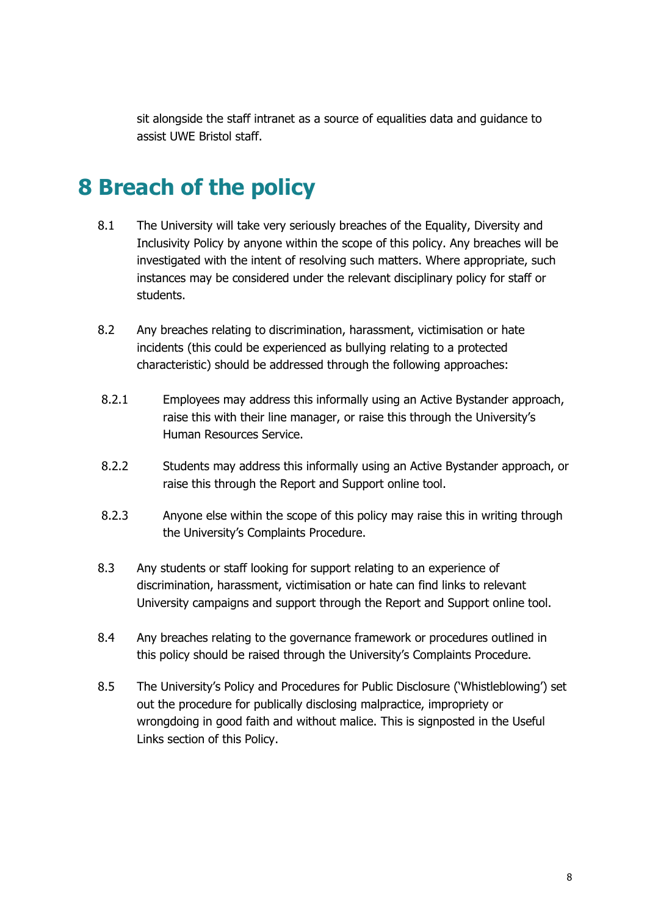sit alongside the staff intranet as a source of equalities data and guidance to assist UWE Bristol staff.

# **8 Breach of the policy**

- 8.1 The University will take very seriously breaches of the Equality, Diversity and Inclusivity Policy by anyone within the scope of this policy. Any breaches will be investigated with the intent of resolving such matters. Where appropriate, such instances may be considered under the relevant disciplinary policy for staff or students.
- 8.2 Any breaches relating to discrimination, harassment, victimisation or hate incidents (this could be experienced as bullying relating to a protected characteristic) should be addressed through the following approaches:
- 8.2.1 Employees may address this informally using an Active Bystander approach, raise this with their line manager, or raise this through the University's Human Resources Service.
- 8.2.2 Students may address this informally using an Active Bystander approach, or raise this through the Report and Support online tool.
- 8.2.3 Anyone else within the scope of this policy may raise this in writing through the University's Complaints Procedure.
- 8.3 Any students or staff looking for support relating to an experience of discrimination, harassment, victimisation or hate can find links to relevant University campaigns and support through the Report and Support online tool.
- 8.4 Any breaches relating to the governance framework or procedures outlined in this policy should be raised through the University's Complaints Procedure.
- 8.5 The University's Policy and Procedures for Public Disclosure ('Whistleblowing') set out the procedure for publically disclosing malpractice, impropriety or wrongdoing in good faith and without malice. This is signposted in the Useful Links section of this Policy.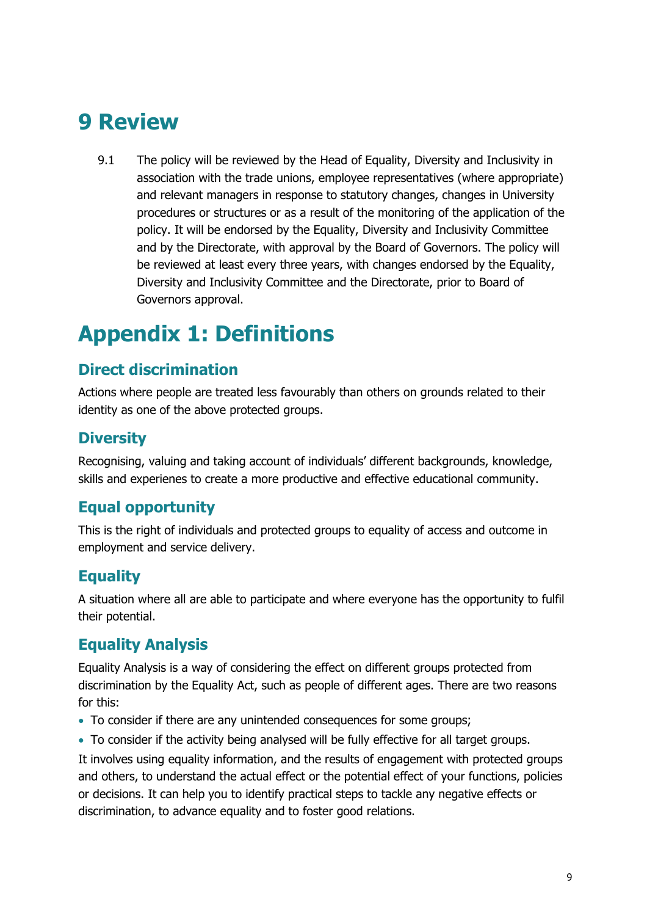# **9 Review**

9.1 The policy will be reviewed by the Head of Equality, Diversity and Inclusivity in association with the trade unions, employee representatives (where appropriate) and relevant managers in response to statutory changes, changes in University procedures or structures or as a result of the monitoring of the application of the policy. It will be endorsed by the Equality, Diversity and Inclusivity Committee and by the Directorate, with approval by the Board of Governors. The policy will be reviewed at least every three years, with changes endorsed by the Equality, Diversity and Inclusivity Committee and the Directorate, prior to Board of Governors approval.

# **Appendix 1: Definitions**

### **Direct discrimination**

Actions where people are treated less favourably than others on grounds related to their identity as one of the above protected groups.

#### **Diversity**

Recognising, valuing and taking account of individuals' different backgrounds, knowledge, skills and experienes to create a more productive and effective educational community.

#### **Equal opportunity**

This is the right of individuals and protected groups to equality of access and outcome in employment and service delivery.

### **Equality**

A situation where all are able to participate and where everyone has the opportunity to fulfil their potential.

#### **Equality Analysis**

Equality Analysis is a way of considering the effect on different groups protected from discrimination by the Equality Act, such as people of different ages. There are two reasons for this:

- To consider if there are any unintended consequences for some groups;
- To consider if the activity being analysed will be fully effective for all target groups.

It involves using equality information, and the results of engagement with protected groups and others, to understand the actual effect or the potential effect of your functions, policies or decisions. It can help you to identify practical steps to tackle any negative effects or discrimination, to advance equality and to foster good relations.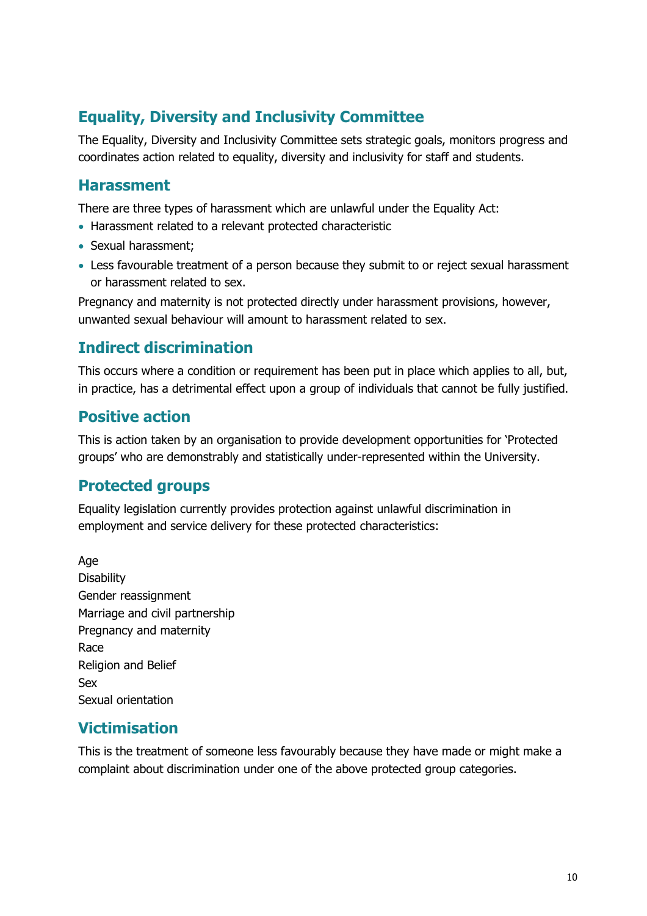### **Equality, Diversity and Inclusivity Committee**

The Equality, Diversity and Inclusivity Committee sets strategic goals, monitors progress and coordinates action related to equality, diversity and inclusivity for staff and students.

#### **Harassment**

There are three types of harassment which are unlawful under the Equality Act:

- Harassment related to a relevant protected characteristic
- Sexual harassment:
- Less favourable treatment of a person because they submit to or reject sexual harassment or harassment related to sex.

Pregnancy and maternity is not protected directly under harassment provisions, however, unwanted sexual behaviour will amount to harassment related to sex.

### **Indirect discrimination**

This occurs where a condition or requirement has been put in place which applies to all, but, in practice, has a detrimental effect upon a group of individuals that cannot be fully justified.

### **Positive action**

This is action taken by an organisation to provide development opportunities for 'Protected groups' who are demonstrably and statistically under-represented within the University.

### **Protected groups**

Equality legislation currently provides protection against unlawful discrimination in employment and service delivery for these protected characteristics:

Age **Disability** Gender reassignment Marriage and civil partnership Pregnancy and maternity Race Religion and Belief Sex Sexual orientation

#### **Victimisation**

This is the treatment of someone less favourably because they have made or might make a complaint about discrimination under one of the above protected group categories.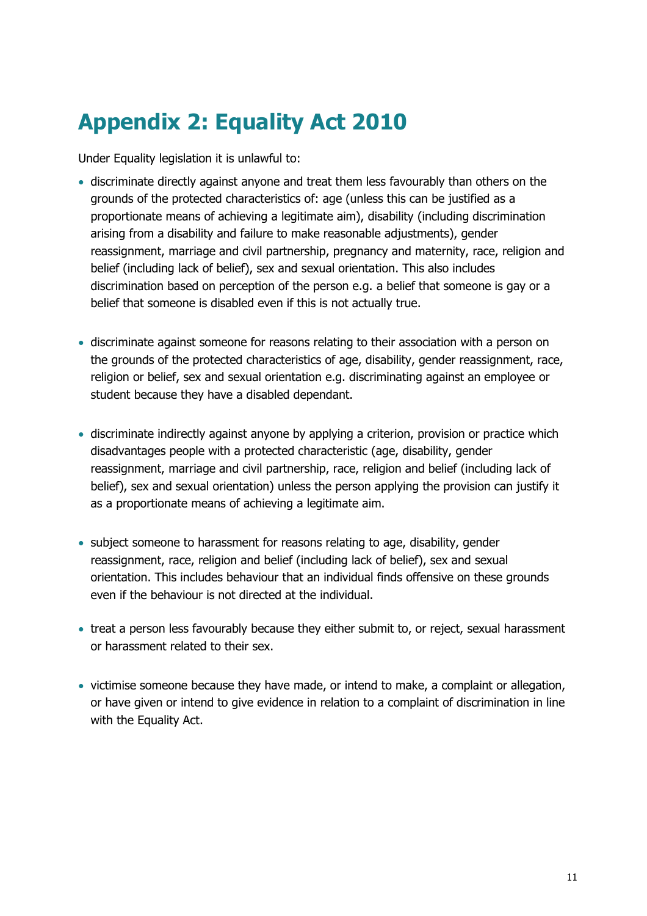# **Appendix 2: Equality Act 2010**

Under Equality legislation it is unlawful to:

- discriminate directly against anyone and treat them less favourably than others on the grounds of the protected characteristics of: age (unless this can be justified as a proportionate means of achieving a legitimate aim), disability (including discrimination arising from a disability and failure to make reasonable adjustments), gender reassignment, marriage and civil partnership, pregnancy and maternity, race, religion and belief (including lack of belief), sex and sexual orientation. This also includes discrimination based on perception of the person e.g. a belief that someone is gay or a belief that someone is disabled even if this is not actually true.
- discriminate against someone for reasons relating to their association with a person on the grounds of the protected characteristics of age, disability, gender reassignment, race, religion or belief, sex and sexual orientation e.g. discriminating against an employee or student because they have a disabled dependant.
- discriminate indirectly against anyone by applying a criterion, provision or practice which disadvantages people with a protected characteristic (age, disability, gender reassignment, marriage and civil partnership, race, religion and belief (including lack of belief), sex and sexual orientation) unless the person applying the provision can justify it as a proportionate means of achieving a legitimate aim.
- subject someone to harassment for reasons relating to age, disability, gender reassignment, race, religion and belief (including lack of belief), sex and sexual orientation. This includes behaviour that an individual finds offensive on these grounds even if the behaviour is not directed at the individual.
- treat a person less favourably because they either submit to, or reject, sexual harassment or harassment related to their sex.
- victimise someone because they have made, or intend to make, a complaint or allegation, or have given or intend to give evidence in relation to a complaint of discrimination in line with the Equality Act.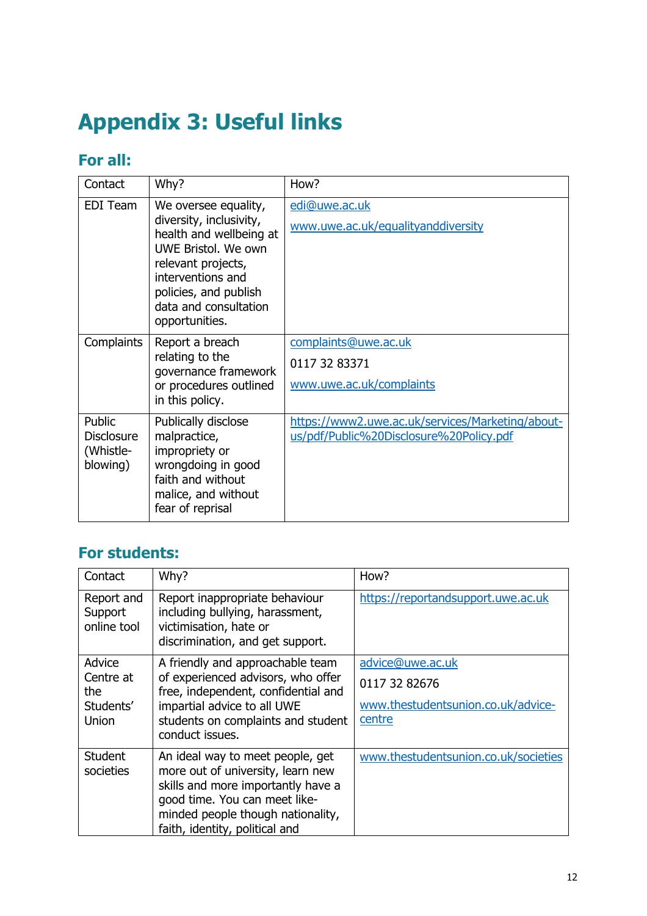# **Appendix 3: Useful links**

## **For all:**

| Contact                                              | Why?                                                                                                                                                                                                             | How?                                                                                        |
|------------------------------------------------------|------------------------------------------------------------------------------------------------------------------------------------------------------------------------------------------------------------------|---------------------------------------------------------------------------------------------|
| EDI Team                                             | We oversee equality,<br>diversity, inclusivity,<br>health and wellbeing at<br>UWE Bristol. We own<br>relevant projects,<br>interventions and<br>policies, and publish<br>data and consultation<br>opportunities. | edi@uwe.ac.uk<br>www.uwe.ac.uk/equalityanddiversity                                         |
| Complaints                                           | Report a breach<br>relating to the<br>governance framework<br>or procedures outlined<br>in this policy.                                                                                                          | complaints@uwe.ac.uk<br>0117 32 83371<br>www.uwe.ac.uk/complaints                           |
| Public<br><b>Disclosure</b><br>(Whistle-<br>blowing) | Publically disclose<br>malpractice,<br>impropriety or<br>wrongdoing in good<br>faith and without<br>malice, and without<br>fear of reprisal                                                                      | https://www2.uwe.ac.uk/services/Marketing/about-<br>us/pdf/Public%20Disclosure%20Policy.pdf |

## **For students:**

| Contact                                                                                       | Why?                                                                                                                            | How?                                 |
|-----------------------------------------------------------------------------------------------|---------------------------------------------------------------------------------------------------------------------------------|--------------------------------------|
| Report and<br>Support<br>online tool                                                          | Report inappropriate behaviour<br>including bullying, harassment,<br>victimisation, hate or<br>discrimination, and get support. | https://reportandsupport.uwe.ac.uk   |
| Advice                                                                                        | A friendly and approachable team                                                                                                | advice@uwe.ac.uk                     |
| of experienced advisors, who offer<br>Centre at<br>free, independent, confidential and<br>the | 0117 32 82676                                                                                                                   |                                      |
| Students'                                                                                     | impartial advice to all UWE                                                                                                     | www.thestudentsunion.co.uk/advice-   |
| Union                                                                                         | students on complaints and student<br>conduct issues.                                                                           | centre                               |
| <b>Student</b>                                                                                | An ideal way to meet people, get                                                                                                | www.thestudentsunion.co.uk/societies |
| societies                                                                                     | more out of university, learn new<br>skills and more importantly have a                                                         |                                      |
|                                                                                               | good time. You can meet like-                                                                                                   |                                      |
|                                                                                               | minded people though nationality,                                                                                               |                                      |
|                                                                                               | faith, identity, political and                                                                                                  |                                      |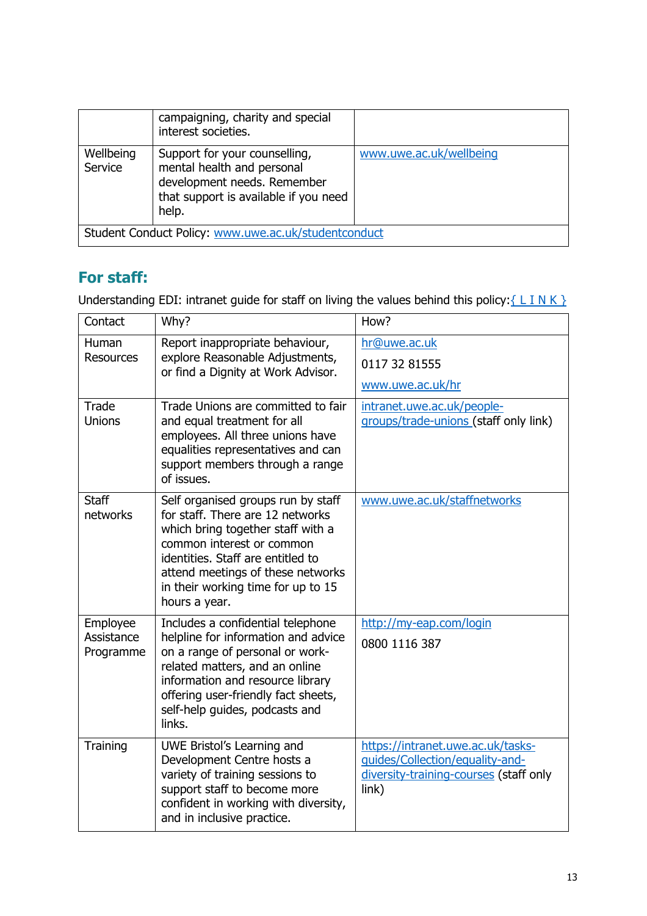|                                                      | campaigning, charity and special<br>interest societies.                                                                                      |                         |
|------------------------------------------------------|----------------------------------------------------------------------------------------------------------------------------------------------|-------------------------|
| Wellbeing<br>Service                                 | Support for your counselling,<br>mental health and personal<br>development needs. Remember<br>that support is available if you need<br>help. | www.uwe.ac.uk/wellbeing |
| Student Conduct Policy: www.uwe.ac.uk/studentconduct |                                                                                                                                              |                         |

### **For staff:**

Understanding EDI: intranet guide for staff on living the values behind this policy:  $\{\perp \text{IN K }\}$ 

| Contact                             | Why?                                                                                                                                                                                                                                                                      | How?                                                                                                                    |
|-------------------------------------|---------------------------------------------------------------------------------------------------------------------------------------------------------------------------------------------------------------------------------------------------------------------------|-------------------------------------------------------------------------------------------------------------------------|
| Human<br><b>Resources</b>           | Report inappropriate behaviour,<br>explore Reasonable Adjustments,<br>or find a Dignity at Work Advisor.                                                                                                                                                                  | hr@uwe.ac.uk<br>0117 32 81555<br>www.uwe.ac.uk/hr                                                                       |
| Trade<br><b>Unions</b>              | Trade Unions are committed to fair<br>and equal treatment for all<br>employees. All three unions have<br>equalities representatives and can<br>support members through a range<br>of issues.                                                                              | intranet.uwe.ac.uk/people-<br>groups/trade-unions (staff only link)                                                     |
| <b>Staff</b><br>networks            | Self organised groups run by staff<br>for staff. There are 12 networks<br>which bring together staff with a<br>common interest or common<br>identities. Staff are entitled to<br>attend meetings of these networks<br>in their working time for up to 15<br>hours a year. | www.uwe.ac.uk/staffnetworks                                                                                             |
| Employee<br>Assistance<br>Programme | Includes a confidential telephone<br>helpline for information and advice<br>on a range of personal or work-<br>related matters, and an online<br>information and resource library<br>offering user-friendly fact sheets,<br>self-help guides, podcasts and<br>links.      | http://my-eap.com/login<br>0800 1116 387                                                                                |
| Training                            | UWE Bristol's Learning and<br>Development Centre hosts a<br>variety of training sessions to<br>support staff to become more<br>confident in working with diversity,<br>and in inclusive practice.                                                                         | https://intranet.uwe.ac.uk/tasks-<br>guides/Collection/equality-and-<br>diversity-training-courses (staff only<br>link) |